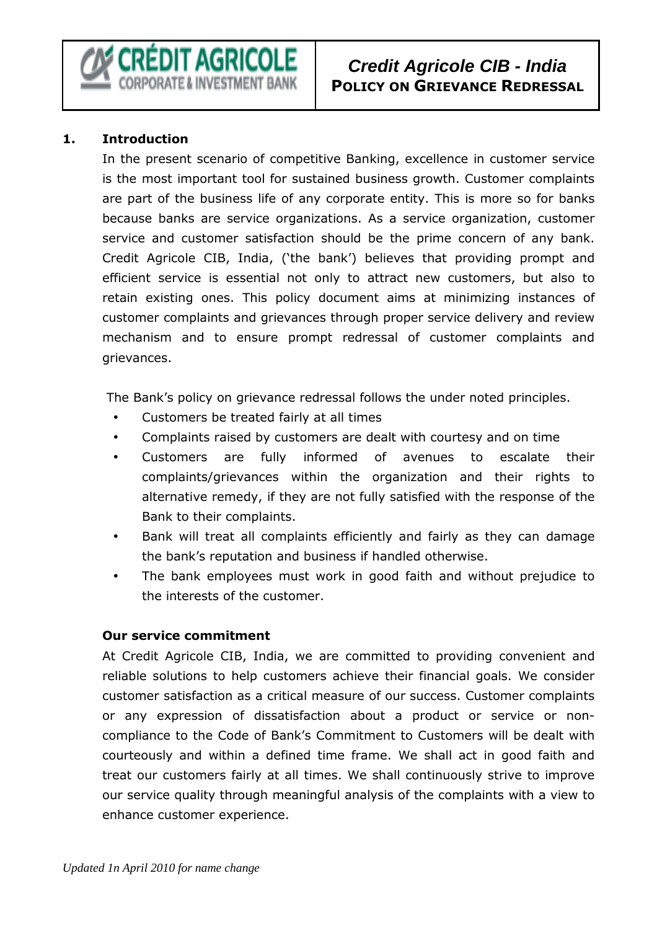#### **1. Introduction**

In the present scenario of competitive Banking, excellence in customer service is the most important tool for sustained business growth. Customer complaints are part of the business life of any corporate entity. This is more so for banks because banks are service organizations. As a service organization, customer service and customer satisfaction should be the prime concern of any bank. Credit Agricole CIB, India, ('the bank') believes that providing prompt and efficient service is essential not only to attract new customers, but also to retain existing ones. This policy document aims at minimizing instances of customer complaints and grievances through proper service delivery and review mechanism and to ensure prompt redressal of customer complaints and grievances.

The Bank's policy on grievance redressal follows the under noted principles.

- Customers be treated fairly at all times
- Complaints raised by customers are dealt with courtesy and on time
- Customers are fully informed of avenues to escalate their complaints/grievances within the organization and their rights to alternative remedy, if they are not fully satisfied with the response of the Bank to their complaints.
- Bank will treat all complaints efficiently and fairly as they can damage the bank's reputation and business if handled otherwise.
- The bank employees must work in good faith and without prejudice to the interests of the customer.

#### **Our service commitment**

At Credit Agricole CIB, India, we are committed to providing convenient and reliable solutions to help customers achieve their financial goals. We consider customer satisfaction as a critical measure of our success. Customer complaints or any expression of dissatisfaction about a product or service or noncompliance to the Code of Bank's Commitment to Customers will be dealt with courteously and within a defined time frame. We shall act in good faith and treat our customers fairly at all times. We shall continuously strive to improve our service quality through meaningful analysis of the complaints with a view to enhance customer experience.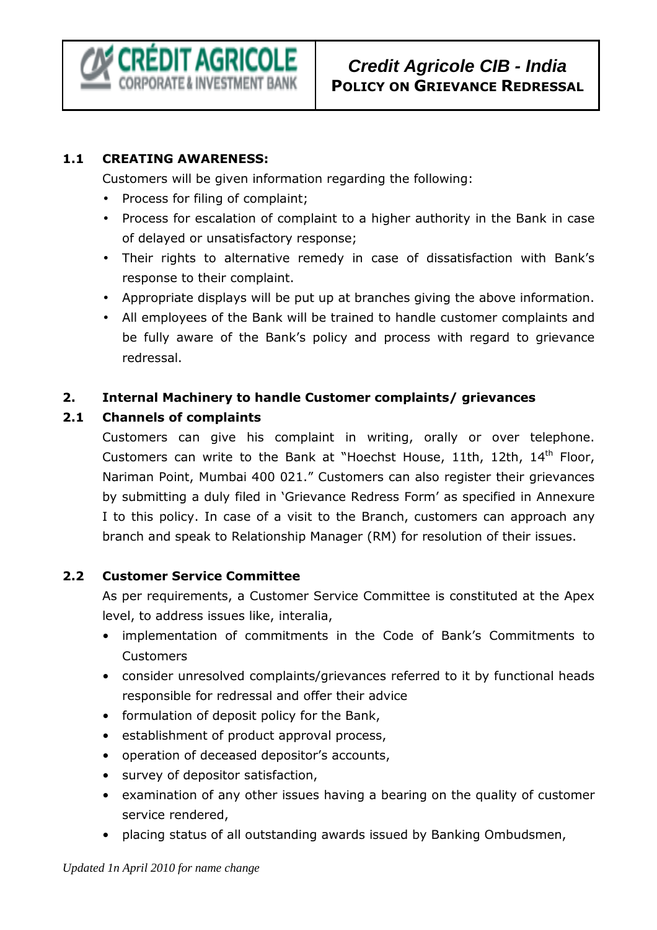CRÉDIT AGRICOLE **RPORATE & INVESTMENT BANK** 

# **Credit Agricole CIB - India POLICY ON GRIEVANCE REDRESSAL**

### **1.1 CREATING AWARENESS:**

Customers will be given information regarding the following:

- Process for filing of complaint;
- Process for escalation of complaint to a higher authority in the Bank in case of delayed or unsatisfactory response;
- Their rights to alternative remedy in case of dissatisfaction with Bank's response to their complaint.
- Appropriate displays will be put up at branches giving the above information.
- All employees of the Bank will be trained to handle customer complaints and be fully aware of the Bank's policy and process with regard to grievance redressal.

### **2. Internal Machinery to handle Customer complaints/ grievances**

### **2.1 Channels of complaints**

Customers can give his complaint in writing, orally or over telephone. Customers can write to the Bank at "Hoechst House, 11th, 12th, 14<sup>th</sup> Floor, Nariman Point, Mumbai 400 021." Customers can also register their grievances by submitting a duly filed in 'Grievance Redress Form' as specified in Annexure I to this policy. In case of a visit to the Branch, customers can approach any branch and speak to Relationship Manager (RM) for resolution of their issues.

#### **2.2 Customer Service Committee**

As per requirements, a Customer Service Committee is constituted at the Apex level, to address issues like, interalia,

- implementation of commitments in the Code of Bank's Commitments to Customers
- consider unresolved complaints/grievances referred to it by functional heads responsible for redressal and offer their advice
- formulation of deposit policy for the Bank,
- establishment of product approval process,
- operation of deceased depositor's accounts,
- survey of depositor satisfaction,
- examination of any other issues having a bearing on the quality of customer service rendered,
- placing status of all outstanding awards issued by Banking Ombudsmen,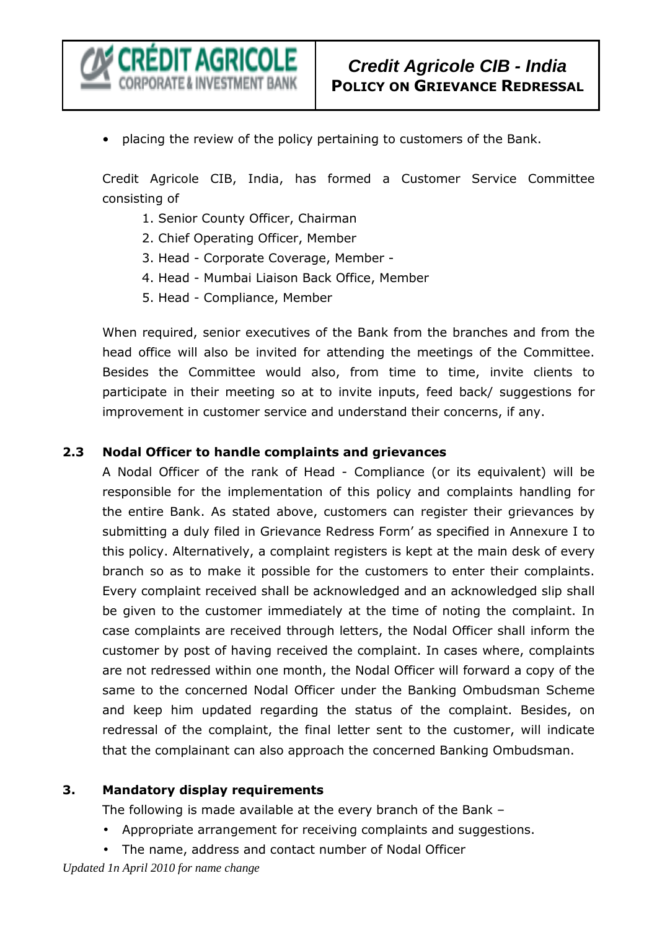

• placing the review of the policy pertaining to customers of the Bank.

Credit Agricole CIB, India, has formed a Customer Service Committee consisting of

- 1. Senior County Officer, Chairman
- 2. Chief Operating Officer, Member
- 3. Head Corporate Coverage, Member -
- 4. Head Mumbai Liaison Back Office, Member
- 5. Head Compliance, Member

When required, senior executives of the Bank from the branches and from the head office will also be invited for attending the meetings of the Committee. Besides the Committee would also, from time to time, invite clients to participate in their meeting so at to invite inputs, feed back/ suggestions for improvement in customer service and understand their concerns, if any.

#### **2.3 Nodal Officer to handle complaints and grievances**

A Nodal Officer of the rank of Head - Compliance (or its equivalent) will be responsible for the implementation of this policy and complaints handling for the entire Bank. As stated above, customers can register their grievances by submitting a duly filed in Grievance Redress Form' as specified in Annexure I to this policy. Alternatively, a complaint registers is kept at the main desk of every branch so as to make it possible for the customers to enter their complaints. Every complaint received shall be acknowledged and an acknowledged slip shall be given to the customer immediately at the time of noting the complaint. In case complaints are received through letters, the Nodal Officer shall inform the customer by post of having received the complaint. In cases where, complaints are not redressed within one month, the Nodal Officer will forward a copy of the same to the concerned Nodal Officer under the Banking Ombudsman Scheme and keep him updated regarding the status of the complaint. Besides, on redressal of the complaint, the final letter sent to the customer, will indicate that the complainant can also approach the concerned Banking Ombudsman.

#### **3. Mandatory display requirements**

The following is made available at the every branch of the Bank –

- Appropriate arrangement for receiving complaints and suggestions.
- The name, address and contact number of Nodal Officer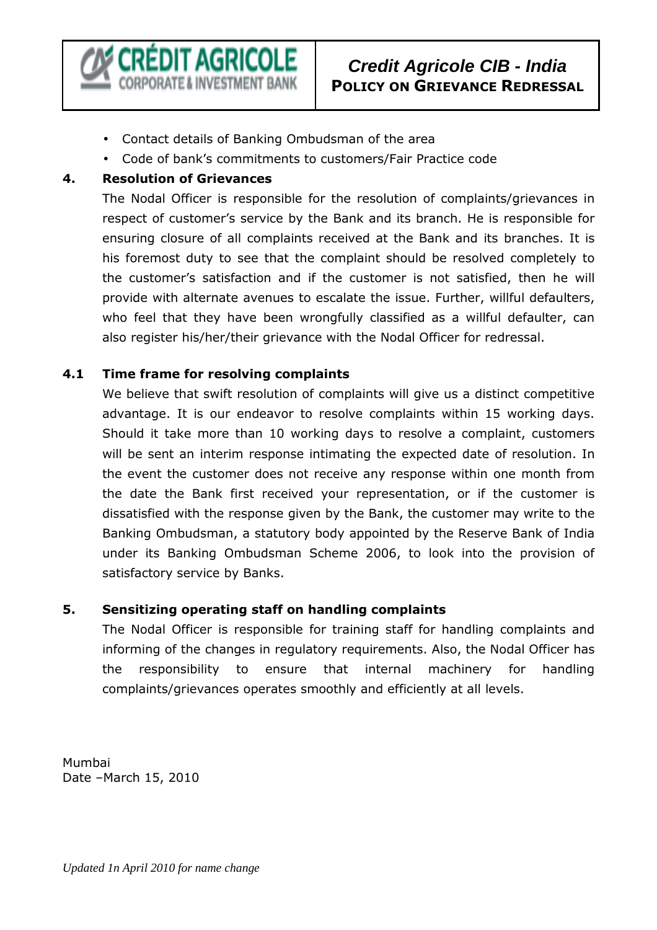

# **Credit Agricole CIB - India POLICY ON GRIEVANCE REDRESSAL**

- Contact details of Banking Ombudsman of the area
- Code of bank's commitments to customers/Fair Practice code

#### **4. Resolution of Grievances**

The Nodal Officer is responsible for the resolution of complaints/grievances in respect of customer's service by the Bank and its branch. He is responsible for ensuring closure of all complaints received at the Bank and its branches. It is his foremost duty to see that the complaint should be resolved completely to the customer's satisfaction and if the customer is not satisfied, then he will provide with alternate avenues to escalate the issue. Further, willful defaulters, who feel that they have been wrongfully classified as a willful defaulter, can also register his/her/their grievance with the Nodal Officer for redressal.

#### **4.1 Time frame for resolving complaints**

We believe that swift resolution of complaints will give us a distinct competitive advantage. It is our endeavor to resolve complaints within 15 working days. Should it take more than 10 working days to resolve a complaint, customers will be sent an interim response intimating the expected date of resolution. In the event the customer does not receive any response within one month from the date the Bank first received your representation, or if the customer is dissatisfied with the response given by the Bank, the customer may write to the Banking Ombudsman, a statutory body appointed by the Reserve Bank of India under its Banking Ombudsman Scheme 2006, to look into the provision of satisfactory service by Banks.

#### **5. Sensitizing operating staff on handling complaints**

The Nodal Officer is responsible for training staff for handling complaints and informing of the changes in regulatory requirements. Also, the Nodal Officer has the responsibility to ensure that internal machinery for handling complaints/grievances operates smoothly and efficiently at all levels.

Mumbai Date –March 15, 2010